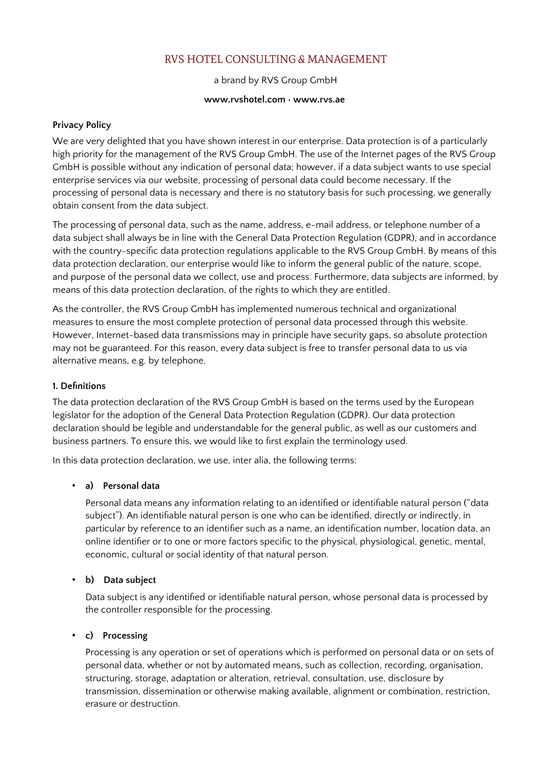# RVS HOTEL CONSULTING & MANAGEMENT

#### a brand by RVS Group GmbH

#### **www.rvshotel.com • www.rvs.ae**

#### **Privacy Policy**

We are very delighted that you have shown interest in our enterprise. Data protection is of a particularly high priority for the management of the RVS Group GmbH. The use of the Internet pages of the RVS Group GmbH is possible without any indication of personal data; however, if a data subject wants to use special enterprise services via our website, processing of personal data could become necessary. If the processing of personal data is necessary and there is no statutory basis for such processing, we generally obtain consent from the data subject.

The processing of personal data, such as the name, address, e-mail address, or telephone number of a data subject shall always be in line with the General Data Protection Regulation (GDPR), and in accordance with the country-specific data protection regulations applicable to the RVS Group GmbH. By means of this data protection declaration, our enterprise would like to inform the general public of the nature, scope, and purpose of the personal data we collect, use and process. Furthermore, data subjects are informed, by means of this data protection declaration, of the rights to which they are entitled.

As the controller, the RVS Group GmbH has implemented numerous technical and organizational measures to ensure the most complete protection of personal data processed through this website. However, Internet-based data transmissions may in principle have security gaps, so absolute protection may not be guaranteed. For this reason, every data subject is free to transfer personal data to us via alternative means, e.g. by telephone.

#### **1. Defnitions**

The data protection declaration of the RVS Group GmbH is based on the terms used by the European legislator for the adoption of the General Data Protection Regulation (GDPR). Our data protection declaration should be legible and understandable for the general public, as well as our customers and business partners. To ensure this, we would like to frst explain the terminology used.

In this data protection declaration, we use, inter alia, the following terms:

### • **a) Personal data**

Personal data means any information relating to an identifed or identifable natural person ("data subject"). An identifable natural person is one who can be identifed, directly or indirectly, in particular by reference to an identifier such as a name, an identification number, location data, an online identifer or to one or more factors specifc to the physical, physiological, genetic, mental, economic, cultural or social identity of that natural person.

### • **b) Data subject**

Data subject is any identifed or identifable natural person, whose personal data is processed by the controller responsible for the processing.

### • **c) Processing**

Processing is any operation or set of operations which is performed on personal data or on sets of personal data, whether or not by automated means, such as collection, recording, organisation, structuring, storage, adaptation or alteration, retrieval, consultation, use, disclosure by transmission, dissemination or otherwise making available, alignment or combination, restriction, erasure or destruction.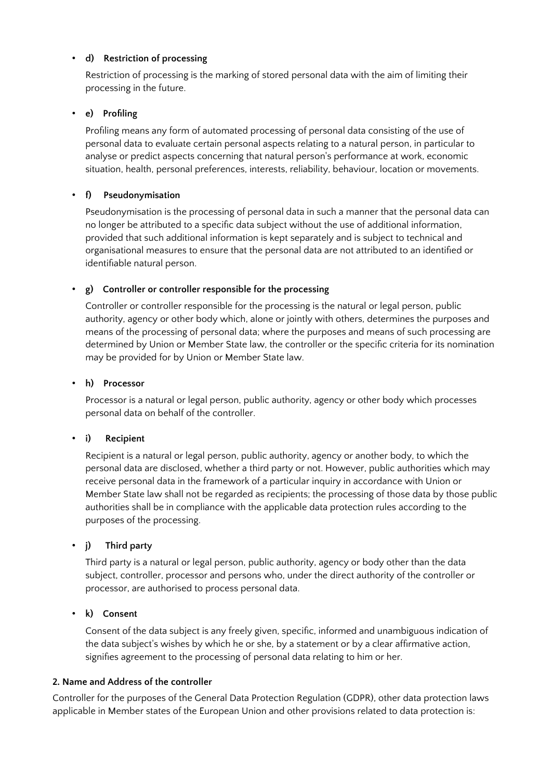### • **d) Restriction of processing**

Restriction of processing is the marking of stored personal data with the aim of limiting their processing in the future.

## • **e) Profling**

Profling means any form of automated processing of personal data consisting of the use of personal data to evaluate certain personal aspects relating to a natural person, in particular to analyse or predict aspects concerning that natural person's performance at work, economic situation, health, personal preferences, interests, reliability, behaviour, location or movements.

## • **f) Pseudonymisation**

Pseudonymisation is the processing of personal data in such a manner that the personal data can no longer be attributed to a specifc data subject without the use of additional information, provided that such additional information is kept separately and is subject to technical and organisational measures to ensure that the personal data are not attributed to an identifed or identifable natural person.

## • **g) Controller or controller responsible for the processing**

Controller or controller responsible for the processing is the natural or legal person, public authority, agency or other body which, alone or jointly with others, determines the purposes and means of the processing of personal data; where the purposes and means of such processing are determined by Union or Member State law, the controller or the specifc criteria for its nomination may be provided for by Union or Member State law.

### • **h) Processor**

Processor is a natural or legal person, public authority, agency or other body which processes personal data on behalf of the controller.

### • **i) Recipient**

Recipient is a natural or legal person, public authority, agency or another body, to which the personal data are disclosed, whether a third party or not. However, public authorities which may receive personal data in the framework of a particular inquiry in accordance with Union or Member State law shall not be regarded as recipients; the processing of those data by those public authorities shall be in compliance with the applicable data protection rules according to the purposes of the processing.

### • **j) Third party**

Third party is a natural or legal person, public authority, agency or body other than the data subject, controller, processor and persons who, under the direct authority of the controller or processor, are authorised to process personal data.

### • **k) Consent**

Consent of the data subject is any freely given, specifc, informed and unambiguous indication of the data subject's wishes by which he or she, by a statement or by a clear affrmative action, signifes agreement to the processing of personal data relating to him or her.

### **2. Name and Address of the controller**

Controller for the purposes of the General Data Protection Regulation (GDPR), other data protection laws applicable in Member states of the European Union and other provisions related to data protection is: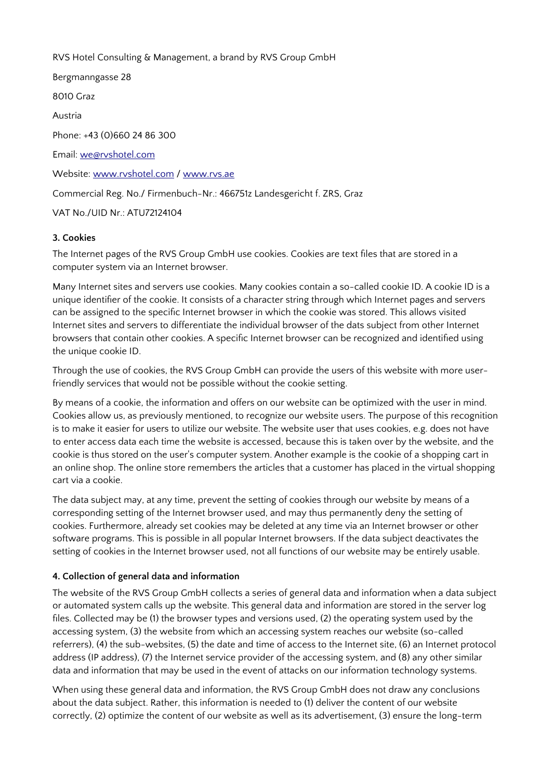RVS Hotel Consulting & Management, a brand by RVS Group GmbH

Bergmanngasse 28 8010 Graz Austria Phone: +43 (0)660 24 86 300 Email: [we@rvshotel.com](mailto:we@rvshotel.com) Website: [www.rvshotel.com](http://www.rvshotel.com/) / [www.rvs.ae](http://www.rvs.ae/) Commercial Reg. No./ Firmenbuch-Nr.: 466751z Landesgericht f. ZRS, Graz VAT No./UID Nr.: ATU72124104

## **3. Cookies**

The Internet pages of the RVS Group GmbH use cookies. Cookies are text fles that are stored in a computer system via an Internet browser.

Many Internet sites and servers use cookies. Many cookies contain a so-called cookie ID. A cookie ID is a unique identifer of the cookie. It consists of a character string through which Internet pages and servers can be assigned to the specifc Internet browser in which the cookie was stored. This allows visited Internet sites and servers to differentiate the individual browser of the dats subject from other Internet browsers that contain other cookies. A specifc Internet browser can be recognized and identifed using the unique cookie ID.

Through the use of cookies, the RVS Group GmbH can provide the users of this website with more userfriendly services that would not be possible without the cookie setting.

By means of a cookie, the information and offers on our website can be optimized with the user in mind. Cookies allow us, as previously mentioned, to recognize our website users. The purpose of this recognition is to make it easier for users to utilize our website. The website user that uses cookies, e.g. does not have to enter access data each time the website is accessed, because this is taken over by the website, and the cookie is thus stored on the user's computer system. Another example is the cookie of a shopping cart in an online shop. The online store remembers the articles that a customer has placed in the virtual shopping cart via a cookie.

The data subject may, at any time, prevent the setting of cookies through our website by means of a corresponding setting of the Internet browser used, and may thus permanently deny the setting of cookies. Furthermore, already set cookies may be deleted at any time via an Internet browser or other software programs. This is possible in all popular Internet browsers. If the data subject deactivates the setting of cookies in the Internet browser used, not all functions of our website may be entirely usable.

### **4. Collection of general data and information**

The website of the RVS Group GmbH collects a series of general data and information when a data subject or automated system calls up the website. This general data and information are stored in the server log fles. Collected may be (1) the browser types and versions used, (2) the operating system used by the accessing system, (3) the website from which an accessing system reaches our website (so-called referrers), (4) the sub-websites, (5) the date and time of access to the Internet site, (6) an Internet protocol address (IP address), (7) the Internet service provider of the accessing system, and (8) any other similar data and information that may be used in the event of attacks on our information technology systems.

When using these general data and information, the RVS Group GmbH does not draw any conclusions about the data subject. Rather, this information is needed to (1) deliver the content of our website correctly, (2) optimize the content of our website as well as its advertisement, (3) ensure the long-term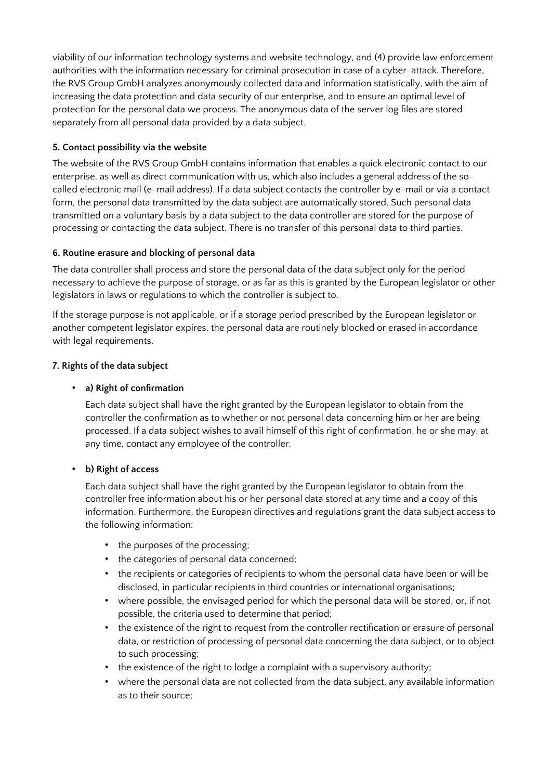viability of our information technology systems and website technology, and (4) provide law enforcement authorities with the information necessary for criminal prosecution in case of a cyber-attack. Therefore, the RVS Group GmbH analyzes anonymously collected data and information statistically, with the aim of increasing the data protection and data security of our enterprise, and to ensure an optimal level of protection for the personal data we process. The anonymous data of the server log fles are stored separately from all personal data provided by a data subject.

# **5. Contact possibility via the website**

The website of the RVS Group GmbH contains information that enables a quick electronic contact to our enterprise, as well as direct communication with us, which also includes a general address of the socalled electronic mail (e-mail address). If a data subject contacts the controller by e-mail or via a contact form, the personal data transmitted by the data subject are automatically stored. Such personal data transmitted on a voluntary basis by a data subject to the data controller are stored for the purpose of processing or contacting the data subject. There is no transfer of this personal data to third parties.

# **6. Routine erasure and blocking of personal data**

The data controller shall process and store the personal data of the data subject only for the period necessary to achieve the purpose of storage, or as far as this is granted by the European legislator or other legislators in laws or regulations to which the controller is subject to.

If the storage purpose is not applicable, or if a storage period prescribed by the European legislator or another competent legislator expires, the personal data are routinely blocked or erased in accordance with legal requirements.

# **7. Rights of the data subject**

# • **a) Right of confrmation**

Each data subject shall have the right granted by the European legislator to obtain from the controller the confrmation as to whether or not personal data concerning him or her are being processed. If a data subject wishes to avail himself of this right of confrmation, he or she may, at any time, contact any employee of the controller.

# • **b) Right of access**

Each data subject shall have the right granted by the European legislator to obtain from the controller free information about his or her personal data stored at any time and a copy of this information. Furthermore, the European directives and regulations grant the data subject access to the following information:

- the purposes of the processing;
- the categories of personal data concerned;
- the recipients or categories of recipients to whom the personal data have been or will be disclosed, in particular recipients in third countries or international organisations;
- where possible, the envisaged period for which the personal data will be stored, or, if not possible, the criteria used to determine that period;
- the existence of the right to request from the controller rectification or erasure of personal data, or restriction of processing of personal data concerning the data subject, or to object to such processing;
- the existence of the right to lodge a complaint with a supervisory authority;
- where the personal data are not collected from the data subject, any available information as to their source;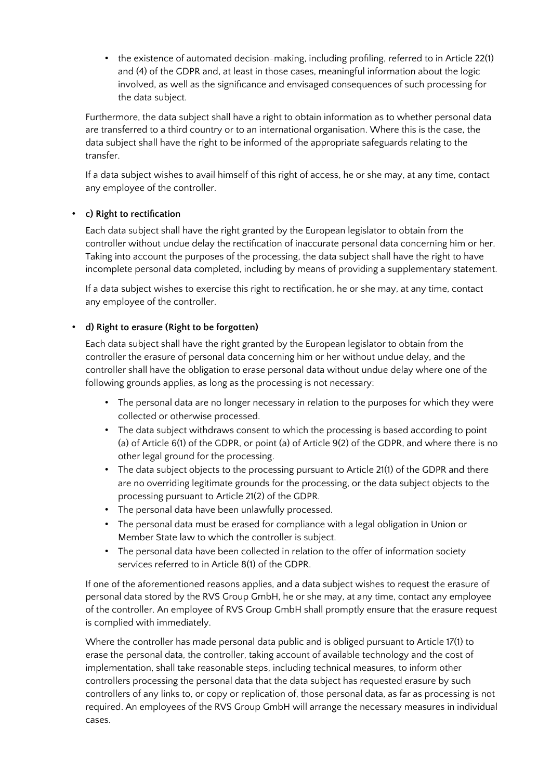• the existence of automated decision-making, including profiling, referred to in Article 22(1) and (4) of the GDPR and, at least in those cases, meaningful information about the logic involved, as well as the signifcance and envisaged consequences of such processing for the data subject.

Furthermore, the data subject shall have a right to obtain information as to whether personal data are transferred to a third country or to an international organisation. Where this is the case, the data subject shall have the right to be informed of the appropriate safeguards relating to the transfer.

If a data subject wishes to avail himself of this right of access, he or she may, at any time, contact any employee of the controller.

## • **c) Right to rectifcation**

Each data subject shall have the right granted by the European legislator to obtain from the controller without undue delay the rectifcation of inaccurate personal data concerning him or her. Taking into account the purposes of the processing, the data subject shall have the right to have incomplete personal data completed, including by means of providing a supplementary statement.

If a data subject wishes to exercise this right to rectifcation, he or she may, at any time, contact any employee of the controller.

# • **d) Right to erasure (Right to be forgotten)**

Each data subject shall have the right granted by the European legislator to obtain from the controller the erasure of personal data concerning him or her without undue delay, and the controller shall have the obligation to erase personal data without undue delay where one of the following grounds applies, as long as the processing is not necessary:

- The personal data are no longer necessary in relation to the purposes for which they were collected or otherwise processed.
- The data subject withdraws consent to which the processing is based according to point (a) of Article 6(1) of the GDPR, or point (a) of Article 9(2) of the GDPR, and where there is no other legal ground for the processing.
- The data subject objects to the processing pursuant to Article 21(1) of the GDPR and there are no overriding legitimate grounds for the processing, or the data subject objects to the processing pursuant to Article 21(2) of the GDPR.
- The personal data have been unlawfully processed.
- The personal data must be erased for compliance with a legal obligation in Union or Member State law to which the controller is subject.
- The personal data have been collected in relation to the offer of information society services referred to in Article 8(1) of the GDPR.

If one of the aforementioned reasons applies, and a data subject wishes to request the erasure of personal data stored by the RVS Group GmbH, he or she may, at any time, contact any employee of the controller. An employee of RVS Group GmbH shall promptly ensure that the erasure request is complied with immediately.

Where the controller has made personal data public and is obliged pursuant to Article 17(1) to erase the personal data, the controller, taking account of available technology and the cost of implementation, shall take reasonable steps, including technical measures, to inform other controllers processing the personal data that the data subject has requested erasure by such controllers of any links to, or copy or replication of, those personal data, as far as processing is not required. An employees of the RVS Group GmbH will arrange the necessary measures in individual cases.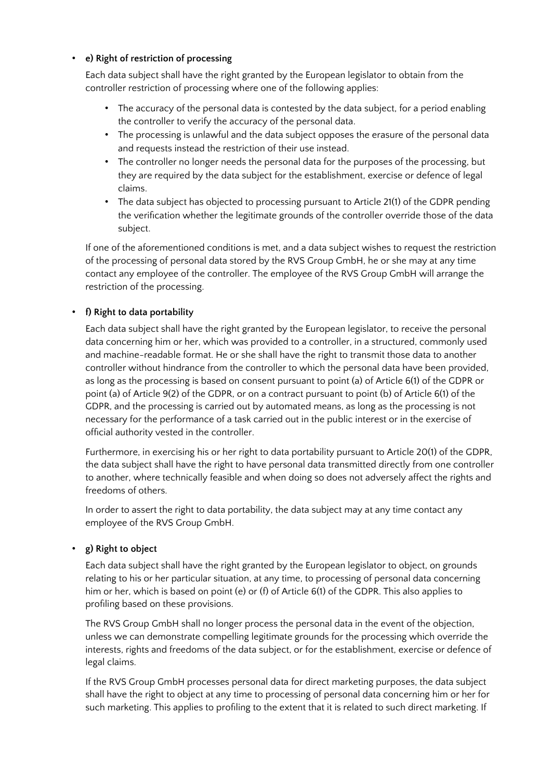## • **e) Right of restriction of processing**

Each data subject shall have the right granted by the European legislator to obtain from the controller restriction of processing where one of the following applies:

- The accuracy of the personal data is contested by the data subject, for a period enabling the controller to verify the accuracy of the personal data.
- The processing is unlawful and the data subject opposes the erasure of the personal data and requests instead the restriction of their use instead.
- The controller no longer needs the personal data for the purposes of the processing, but they are required by the data subject for the establishment, exercise or defence of legal claims.
- The data subject has objected to processing pursuant to Article 21(1) of the GDPR pending the verifcation whether the legitimate grounds of the controller override those of the data subject.

If one of the aforementioned conditions is met, and a data subject wishes to request the restriction of the processing of personal data stored by the RVS Group GmbH, he or she may at any time contact any employee of the controller. The employee of the RVS Group GmbH will arrange the restriction of the processing.

# • **f) Right to data portability**

Each data subject shall have the right granted by the European legislator, to receive the personal data concerning him or her, which was provided to a controller, in a structured, commonly used and machine-readable format. He or she shall have the right to transmit those data to another controller without hindrance from the controller to which the personal data have been provided, as long as the processing is based on consent pursuant to point (a) of Article 6(1) of the GDPR or point (a) of Article 9(2) of the GDPR, or on a contract pursuant to point (b) of Article 6(1) of the GDPR, and the processing is carried out by automated means, as long as the processing is not necessary for the performance of a task carried out in the public interest or in the exercise of official authority vested in the controller.

Furthermore, in exercising his or her right to data portability pursuant to Article 20(1) of the GDPR, the data subject shall have the right to have personal data transmitted directly from one controller to another, where technically feasible and when doing so does not adversely affect the rights and freedoms of others.

In order to assert the right to data portability, the data subject may at any time contact any employee of the RVS Group GmbH.

### • **g) Right to object**

Each data subject shall have the right granted by the European legislator to object, on grounds relating to his or her particular situation, at any time, to processing of personal data concerning him or her, which is based on point (e) or (f) of Article 6(1) of the GDPR. This also applies to profling based on these provisions.

The RVS Group GmbH shall no longer process the personal data in the event of the objection, unless we can demonstrate compelling legitimate grounds for the processing which override the interests, rights and freedoms of the data subject, or for the establishment, exercise or defence of legal claims.

If the RVS Group GmbH processes personal data for direct marketing purposes, the data subject shall have the right to object at any time to processing of personal data concerning him or her for such marketing. This applies to profling to the extent that it is related to such direct marketing. If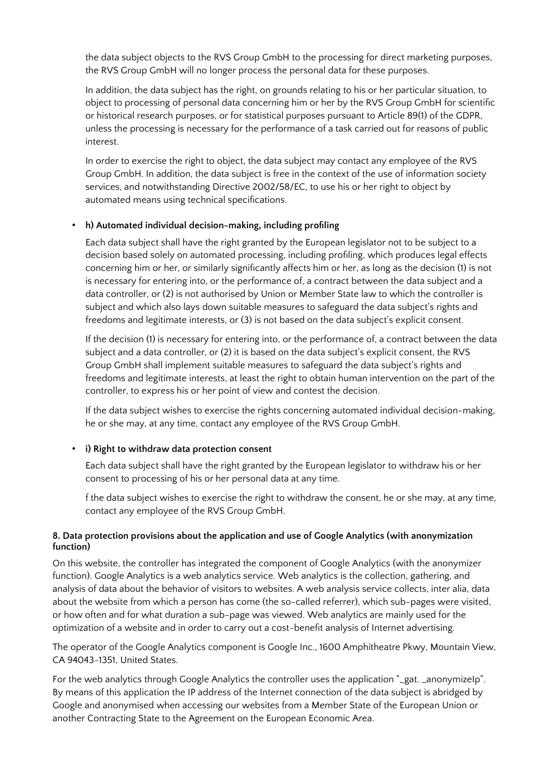the data subject objects to the RVS Group GmbH to the processing for direct marketing purposes, the RVS Group GmbH will no longer process the personal data for these purposes.

In addition, the data subject has the right, on grounds relating to his or her particular situation, to object to processing of personal data concerning him or her by the RVS Group GmbH for scientifc or historical research purposes, or for statistical purposes pursuant to Article 89(1) of the GDPR, unless the processing is necessary for the performance of a task carried out for reasons of public interest.

In order to exercise the right to object, the data subject may contact any employee of the RVS Group GmbH. In addition, the data subject is free in the context of the use of information society services, and notwithstanding Directive 2002/58/EC, to use his or her right to object by automated means using technical specifcations.

### • **h) Automated individual decision-making, including profling**

Each data subject shall have the right granted by the European legislator not to be subject to a decision based solely on automated processing, including profling, which produces legal effects concerning him or her, or similarly signifcantly affects him or her, as long as the decision (1) is not is necessary for entering into, or the performance of, a contract between the data subject and a data controller, or (2) is not authorised by Union or Member State law to which the controller is subject and which also lays down suitable measures to safeguard the data subject's rights and freedoms and legitimate interests, or (3) is not based on the data subject's explicit consent.

If the decision (1) is necessary for entering into, or the performance of, a contract between the data subject and a data controller, or (2) it is based on the data subject's explicit consent, the RVS Group GmbH shall implement suitable measures to safeguard the data subject's rights and freedoms and legitimate interests, at least the right to obtain human intervention on the part of the controller, to express his or her point of view and contest the decision.

If the data subject wishes to exercise the rights concerning automated individual decision-making, he or she may, at any time, contact any employee of the RVS Group GmbH.

### • **i) Right to withdraw data protection consent**

Each data subject shall have the right granted by the European legislator to withdraw his or her consent to processing of his or her personal data at any time.

f the data subject wishes to exercise the right to withdraw the consent, he or she may, at any time, contact any employee of the RVS Group GmbH.

### **8. Data protection provisions about the application and use of Google Analytics (with anonymization function)**

On this website, the controller has integrated the component of Google Analytics (with the anonymizer function). Google Analytics is a web analytics service. Web analytics is the collection, gathering, and analysis of data about the behavior of visitors to websites. A web analysis service collects, inter alia, data about the website from which a person has come (the so-called referrer), which sub-pages were visited, or how often and for what duration a sub-page was viewed. Web analytics are mainly used for the optimization of a website and in order to carry out a cost-beneft analysis of Internet advertising.

The operator of the Google Analytics component is Google Inc., 1600 Amphitheatre Pkwy, Mountain View, CA 94043-1351, United States.

For the web analytics through Google Analytics the controller uses the application "\_gat. \_anonymizeIp". By means of this application the IP address of the Internet connection of the data subject is abridged by Google and anonymised when accessing our websites from a Member State of the European Union or another Contracting State to the Agreement on the European Economic Area.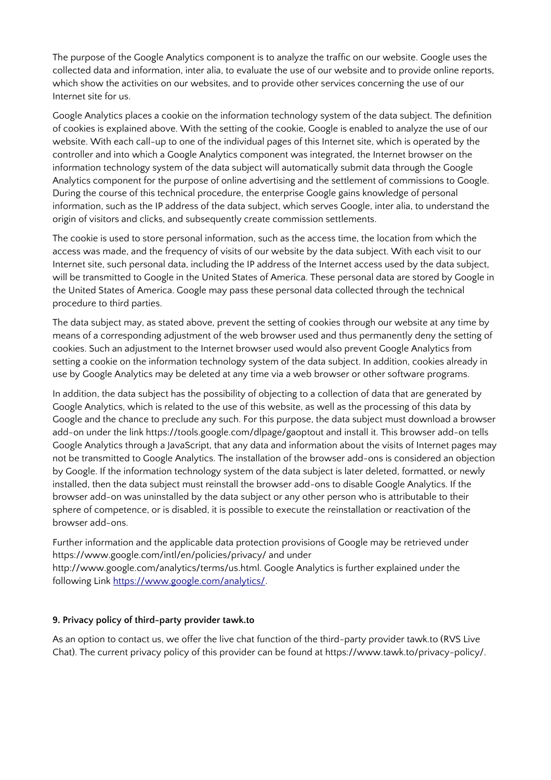The purpose of the Google Analytics component is to analyze the traffc on our website. Google uses the collected data and information, inter alia, to evaluate the use of our website and to provide online reports, which show the activities on our websites, and to provide other services concerning the use of our Internet site for us.

Google Analytics places a cookie on the information technology system of the data subject. The defnition of cookies is explained above. With the setting of the cookie, Google is enabled to analyze the use of our website. With each call-up to one of the individual pages of this Internet site, which is operated by the controller and into which a Google Analytics component was integrated, the Internet browser on the information technology system of the data subject will automatically submit data through the Google Analytics component for the purpose of online advertising and the settlement of commissions to Google. During the course of this technical procedure, the enterprise Google gains knowledge of personal information, such as the IP address of the data subject, which serves Google, inter alia, to understand the origin of visitors and clicks, and subsequently create commission settlements.

The cookie is used to store personal information, such as the access time, the location from which the access was made, and the frequency of visits of our website by the data subject. With each visit to our Internet site, such personal data, including the IP address of the Internet access used by the data subject, will be transmitted to Google in the United States of America. These personal data are stored by Google in the United States of America. Google may pass these personal data collected through the technical procedure to third parties.

The data subject may, as stated above, prevent the setting of cookies through our website at any time by means of a corresponding adjustment of the web browser used and thus permanently deny the setting of cookies. Such an adjustment to the Internet browser used would also prevent Google Analytics from setting a cookie on the information technology system of the data subject. In addition, cookies already in use by Google Analytics may be deleted at any time via a web browser or other software programs.

In addition, the data subject has the possibility of objecting to a collection of data that are generated by Google Analytics, which is related to the use of this website, as well as the processing of this data by Google and the chance to preclude any such. For this purpose, the data subject must download a browser add-on under the link https://tools.google.com/dlpage/gaoptout and install it. This browser add-on tells Google Analytics through a JavaScript, that any data and information about the visits of Internet pages may not be transmitted to Google Analytics. The installation of the browser add-ons is considered an objection by Google. If the information technology system of the data subject is later deleted, formatted, or newly installed, then the data subject must reinstall the browser add-ons to disable Google Analytics. If the browser add-on was uninstalled by the data subject or any other person who is attributable to their sphere of competence, or is disabled, it is possible to execute the reinstallation or reactivation of the browser add-ons.

Further information and the applicable data protection provisions of Google may be retrieved under https://www.google.com/intl/en/policies/privacy/ and under http://www.google.com/analytics/terms/us.html. Google Analytics is further explained under the following Link [https://www.google.com/analytics/.](https://www.google.com/analytics/)

### **9. Privacy policy of third-party provider tawk.to**

As an option to contact us, we offer the live chat function of the third-party provider tawk.to (RVS Live Chat). The current privacy policy of this provider can be found at https://www.tawk.to/privacy-policy/.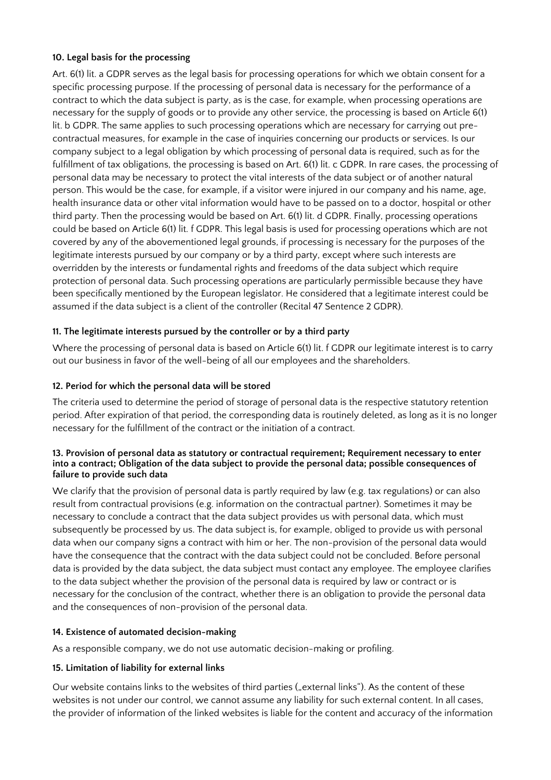## **10. Legal basis for the processing**

Art. 6(1) lit. a GDPR serves as the legal basis for processing operations for which we obtain consent for a specifc processing purpose. If the processing of personal data is necessary for the performance of a contract to which the data subject is party, as is the case, for example, when processing operations are necessary for the supply of goods or to provide any other service, the processing is based on Article 6(1) lit. b GDPR. The same applies to such processing operations which are necessary for carrying out precontractual measures, for example in the case of inquiries concerning our products or services. Is our company subject to a legal obligation by which processing of personal data is required, such as for the fulfillment of tax obligations, the processing is based on Art. 6(1) lit. c GDPR. In rare cases, the processing of personal data may be necessary to protect the vital interests of the data subject or of another natural person. This would be the case, for example, if a visitor were injured in our company and his name, age, health insurance data or other vital information would have to be passed on to a doctor, hospital or other third party. Then the processing would be based on Art. 6(1) lit. d GDPR. Finally, processing operations could be based on Article 6(1) lit. f GDPR. This legal basis is used for processing operations which are not covered by any of the abovementioned legal grounds, if processing is necessary for the purposes of the legitimate interests pursued by our company or by a third party, except where such interests are overridden by the interests or fundamental rights and freedoms of the data subject which require protection of personal data. Such processing operations are particularly permissible because they have been specifcally mentioned by the European legislator. He considered that a legitimate interest could be assumed if the data subject is a client of the controller (Recital 47 Sentence 2 GDPR).

# **11. The legitimate interests pursued by the controller or by a third party**

Where the processing of personal data is based on Article 6(1) lit. f GDPR our legitimate interest is to carry out our business in favor of the well-being of all our employees and the shareholders.

## **12. Period for which the personal data will be stored**

The criteria used to determine the period of storage of personal data is the respective statutory retention period. After expiration of that period, the corresponding data is routinely deleted, as long as it is no longer necessary for the fulfllment of the contract or the initiation of a contract.

#### **13. Provision of personal data as statutory or contractual requirement; Requirement necessary to enter into a contract; Obligation of the data subject to provide the personal data; possible consequences of failure to provide such data**

We clarify that the provision of personal data is partly required by law (e.g. tax regulations) or can also result from contractual provisions (e.g. information on the contractual partner). Sometimes it may be necessary to conclude a contract that the data subject provides us with personal data, which must subsequently be processed by us. The data subject is, for example, obliged to provide us with personal data when our company signs a contract with him or her. The non-provision of the personal data would have the consequence that the contract with the data subject could not be concluded. Before personal data is provided by the data subject, the data subject must contact any employee. The employee clarifes to the data subject whether the provision of the personal data is required by law or contract or is necessary for the conclusion of the contract, whether there is an obligation to provide the personal data and the consequences of non-provision of the personal data.

# **14. Existence of automated decision-making**

As a responsible company, we do not use automatic decision-making or profling.

# **15. Limitation of liability for external links**

Our website contains links to the websites of third parties ("external links"). As the content of these websites is not under our control, we cannot assume any liability for such external content. In all cases, the provider of information of the linked websites is liable for the content and accuracy of the information